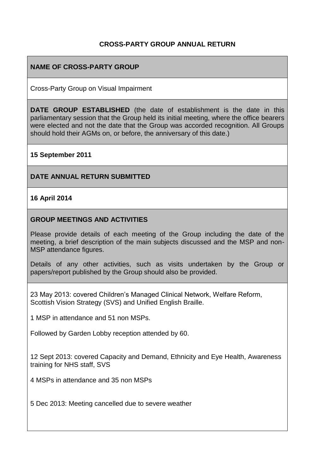## **CROSS-PARTY GROUP ANNUAL RETURN**

## **NAME OF CROSS-PARTY GROUP**

Cross-Party Group on Visual Impairment

**DATE GROUP ESTABLISHED** (the date of establishment is the date in this parliamentary session that the Group held its initial meeting, where the office bearers were elected and not the date that the Group was accorded recognition. All Groups should hold their AGMs on, or before, the anniversary of this date.)

#### **15 September 2011**

#### **DATE ANNUAL RETURN SUBMITTED**

#### **16 April 2014**

#### **GROUP MEETINGS AND ACTIVITIES**

Please provide details of each meeting of the Group including the date of the meeting, a brief description of the main subjects discussed and the MSP and non-MSP attendance figures.

Details of any other activities, such as visits undertaken by the Group or papers/report published by the Group should also be provided.

23 May 2013: covered Children's Managed Clinical Network, Welfare Reform, Scottish Vision Strategy (SVS) and Unified English Braille.

1 MSP in attendance and 51 non MSPs.

Followed by Garden Lobby reception attended by 60.

12 Sept 2013: covered Capacity and Demand, Ethnicity and Eye Health, Awareness training for NHS staff, SVS

4 MSPs in attendance and 35 non MSPs

5 Dec 2013: Meeting cancelled due to severe weather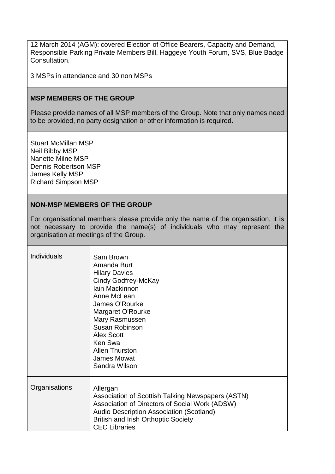12 March 2014 (AGM): covered Election of Office Bearers, Capacity and Demand, Responsible Parking Private Members Bill, Haggeye Youth Forum, SVS, Blue Badge Consultation.

3 MSPs in attendance and 30 non MSPs

#### **MSP MEMBERS OF THE GROUP**

Please provide names of all MSP members of the Group. Note that only names need to be provided, no party designation or other information is required.

Stuart McMillan MSP Neil Bibby MSP Nanette Milne MSP Dennis Robertson MSP James Kelly MSP Richard Simpson MSP

## **NON-MSP MEMBERS OF THE GROUP**

For organisational members please provide only the name of the organisation, it is not necessary to provide the name(s) of individuals who may represent the organisation at meetings of the Group.

| <b>Individuals</b> | Sam Brown<br>Amanda Burt<br><b>Hilary Davies</b><br>Cindy Godfrey-McKay<br><b>lain Mackinnon</b><br>Anne McLean<br>James O'Rourke<br>Margaret O'Rourke<br>Mary Rasmussen<br>Susan Robinson<br><b>Alex Scott</b><br>Ken Swa<br><b>Allen Thurston</b><br><b>James Mowat</b><br>Sandra Wilson |
|--------------------|--------------------------------------------------------------------------------------------------------------------------------------------------------------------------------------------------------------------------------------------------------------------------------------------|
| Organisations      | Allergan<br>Association of Scottish Talking Newspapers (ASTN)<br>Association of Directors of Social Work (ADSW)<br>Audio Description Association (Scotland)<br><b>British and Irish Orthoptic Society</b><br><b>CEC Libraries</b>                                                          |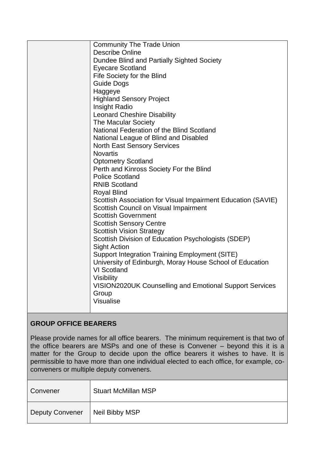| <b>Community The Trade Union</b>                               |
|----------------------------------------------------------------|
| Describe Online                                                |
| Dundee Blind and Partially Sighted Society                     |
| <b>Eyecare Scotland</b>                                        |
| Fife Society for the Blind                                     |
| <b>Guide Dogs</b>                                              |
| Haggeye                                                        |
| <b>Highland Sensory Project</b>                                |
| Insight Radio                                                  |
| <b>Leonard Cheshire Disability</b>                             |
| The Macular Society                                            |
| National Federation of the Blind Scotland                      |
| National League of Blind and Disabled                          |
| <b>North East Sensory Services</b>                             |
| <b>Novartis</b>                                                |
| <b>Optometry Scotland</b>                                      |
| Perth and Kinross Society For the Blind                        |
| <b>Police Scotland</b>                                         |
| <b>RNIB Scotland</b>                                           |
| <b>Royal Blind</b>                                             |
| Scottish Association for Visual Impairment Education (SAVIE)   |
| Scottish Council on Visual Impairment                          |
| <b>Scottish Government</b>                                     |
| <b>Scottish Sensory Centre</b>                                 |
| <b>Scottish Vision Strategy</b>                                |
| Scottish Division of Education Psychologists (SDEP)            |
| <b>Sight Action</b>                                            |
| <b>Support Integration Training Employment (SITE)</b>          |
| University of Edinburgh, Moray House School of Education       |
| <b>VI Scotland</b>                                             |
| <b>Visibility</b>                                              |
| <b>VISION2020UK Counselling and Emotional Support Services</b> |
| Group                                                          |
| Visualise                                                      |
|                                                                |

# **GROUP OFFICE BEARERS**

Please provide names for all office bearers. The minimum requirement is that two of the office bearers are MSPs and one of these is Convener – beyond this it is a matter for the Group to decide upon the office bearers it wishes to have. It is permissible to have more than one individual elected to each office, for example, coconveners or multiple deputy conveners.

| Convener               | <b>Stuart McMillan MSP</b> |
|------------------------|----------------------------|
| <b>Deputy Convener</b> | Neil Bibby MSP             |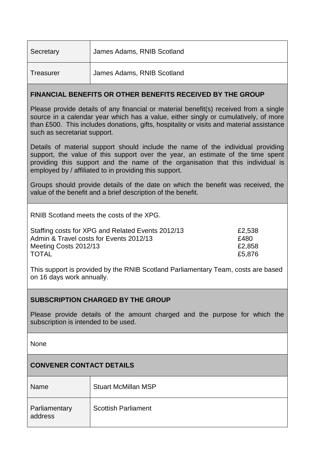| Secretary        | James Adams, RNIB Scotland |
|------------------|----------------------------|
| <b>Treasurer</b> | James Adams, RNIB Scotland |
|                  |                            |

## **FINANCIAL BENEFITS OR OTHER BENEFITS RECEIVED BY THE GROUP**

Please provide details of any financial or material benefit(s) received from a single source in a calendar year which has a value, either singly or cumulatively, of more than £500. This includes donations, gifts, hospitality or visits and material assistance such as secretariat support.

Details of material support should include the name of the individual providing support, the value of this support over the year, an estimate of the time spent providing this support and the name of the organisation that this individual is employed by / affiliated to in providing this support.

Groups should provide details of the date on which the benefit was received, the value of the benefit and a brief description of the benefit.

RNIB Scotland meets the costs of the XPG.

| Staffing costs for XPG and Related Events 2012/13 | £2,538 |
|---------------------------------------------------|--------|
| Admin & Travel costs for Events 2012/13           | £480   |
| Meeting Costs 2012/13                             | £2.858 |
| <b>TOTAL</b>                                      | £5.876 |

This support is provided by the RNIB Scotland Parliamentary Team, costs are based on 16 days work annually.

## **SUBSCRIPTION CHARGED BY THE GROUP**

Please provide details of the amount charged and the purpose for which the subscription is intended to be used.

**None** 

# **CONVENER CONTACT DETAILS**

| Name                     | <b>Stuart McMillan MSP</b> |
|--------------------------|----------------------------|
| Parliamentary<br>address | <b>Scottish Parliament</b> |